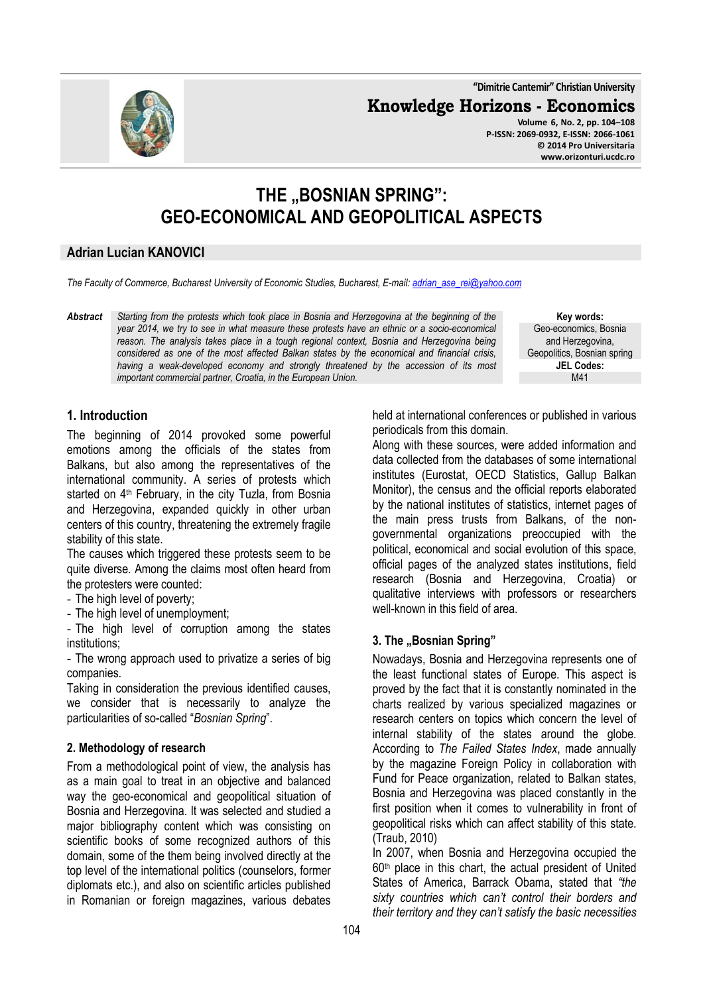**"Dimitrie Cantemir" Christian University**

**Knowledge Horizons - Economics**

**Volume 6, No. 2, pp. 104–108 P-ISSN: 2069-0932, E-ISSN: 2066-1061 © 2014 Pro Universitaria www.orizonturi.ucdc.ro**



# THE **..BOSNIAN SPRING": GEO-ECONOMICAL AND GEOPOLITICAL ASPECTS**

#### **Adrian Lucian KANOVICI**

*The Faculty of Commerce, Bucharest University of Economic Studies, Bucharest, E-mail: adrian\_ase\_rei@yahoo.com*

*Abstract Starting from the protests which took place in Bosnia and Herzegovina at the beginning of the year 2014, we try to see in what measure these protests have an ethnic or a socio-economical*  reason. The analysis takes place in a tough regional context, Bosnia and Herzegovina being *considered as one of the most affected Balkan states by the economical and financial crisis,*  having a weak-developed economy and strongly threatened by the accession of its most *important commercial partner, Croatia, in the European Union.* 

**Key words:** Geo-economics, Bosnia and Herzegovina, Geopolitics, Bosnian spring **JEL Codes:** M41

# **1. Introduction**

The beginning of 2014 provoked some powerful emotions among the officials of the states from Balkans, but also among the representatives of the international community. A series of protests which started on 4<sup>th</sup> February, in the city Tuzla, from Bosnia and Herzegovina, expanded quickly in other urban centers of this country, threatening the extremely fragile stability of this state.

The causes which triggered these protests seem to be quite diverse. Among the claims most often heard from the protesters were counted:

- The high level of poverty;
- The high level of unemployment;

- The high level of corruption among the states institutions;

- The wrong approach used to privatize a series of big companies.

Taking in consideration the previous identified causes, we consider that is necessarily to analyze the particularities of so-called "*Bosnian Spring*".

#### **2. Methodology of research**

From a methodological point of view, the analysis has as a main goal to treat in an objective and balanced way the geo-economical and geopolitical situation of Bosnia and Herzegovina. It was selected and studied a major bibliography content which was consisting on scientific books of some recognized authors of this domain, some of the them being involved directly at the top level of the international politics (counselors, former diplomats etc.), and also on scientific articles published in Romanian or foreign magazines, various debates

held at international conferences or published in various periodicals from this domain.

Along with these sources, were added information and data collected from the databases of some international institutes (Eurostat, OECD Statistics, Gallup Balkan Monitor), the census and the official reports elaborated by the national institutes of statistics, internet pages of the main press trusts from Balkans, of the nongovernmental organizations preoccupied with the political, economical and social evolution of this space, official pages of the analyzed states institutions, field research (Bosnia and Herzegovina, Croatia) or qualitative interviews with professors or researchers well-known in this field of area.

# **3. The "Bosnian Spring"**

Nowadays, Bosnia and Herzegovina represents one of the least functional states of Europe. This aspect is proved by the fact that it is constantly nominated in the charts realized by various specialized magazines or research centers on topics which concern the level of internal stability of the states around the globe. According to *The Failed States Index*, made annually by the magazine Foreign Policy in collaboration with Fund for Peace organization, related to Balkan states, Bosnia and Herzegovina was placed constantly in the first position when it comes to vulnerability in front of geopolitical risks which can affect stability of this state. (Traub, 2010)

In 2007, when Bosnia and Herzegovina occupied the  $60<sup>th</sup>$  place in this chart, the actual president of United States of America, Barrack Obama, stated that *"the sixty countries which can't control their borders and their territory and they can't satisfy the basic necessities*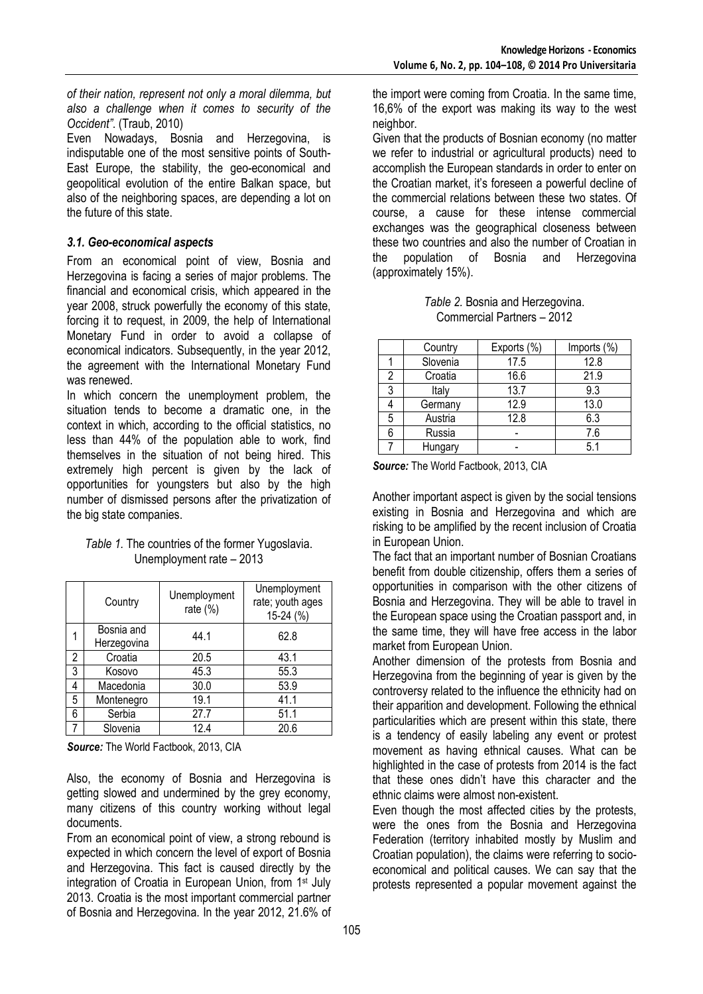*of their nation, represent not only a moral dilemma, but also a challenge when it comes to security of the Occident"*. (Traub, 2010)

Even Nowadays, Bosnia and Herzegovina, is indisputable one of the most sensitive points of South-East Europe, the stability, the geo-economical and geopolitical evolution of the entire Balkan space, but also of the neighboring spaces, are depending a lot on the future of this state.

#### *3.1. Geo-economical aspects*

From an economical point of view, Bosnia and Herzegovina is facing a series of major problems. The financial and economical crisis, which appeared in the year 2008, struck powerfully the economy of this state, forcing it to request, in 2009, the help of International Monetary Fund in order to avoid a collapse of economical indicators. Subsequently, in the year 2012, the agreement with the International Monetary Fund was renewed.

In which concern the unemployment problem, the situation tends to become a dramatic one, in the context in which, according to the official statistics, no less than 44% of the population able to work, find themselves in the situation of not being hired. This extremely high percent is given by the lack of opportunities for youngsters but also by the high number of dismissed persons after the privatization of the big state companies.

#### *Table 1.* The countries of the former Yugoslavia. Unemployment rate – 2013

|   | Country                   | Unemployment<br>rate $(\%)$ | Unemployment<br>rate; youth ages<br>$15-24$ (%) |
|---|---------------------------|-----------------------------|-------------------------------------------------|
|   | Bosnia and<br>Herzegovina | 44.1                        | 62.8                                            |
| 2 | Croatia                   | 20.5                        | 43.1                                            |
| 3 | Kosovo                    | 45.3                        | 55.3                                            |
| 4 | Macedonia                 | 30.0                        | 53.9                                            |
| 5 | Montenegro                | 19.1                        | 41.1                                            |
| 6 | Serbia                    | 27.7                        | 51.1                                            |
|   | Slovenia                  | 12.4                        | 20.6                                            |

*Source:* The World Factbook, 2013, CIA

Also, the economy of Bosnia and Herzegovina is getting slowed and undermined by the grey economy, many citizens of this country working without legal documents.

From an economical point of view, a strong rebound is expected in which concern the level of export of Bosnia and Herzegovina. This fact is caused directly by the integration of Croatia in European Union, from 1<sup>st</sup> July 2013. Croatia is the most important commercial partner of Bosnia and Herzegovina. In the year 2012, 21.6% of

the import were coming from Croatia. In the same time, 16,6% of the export was making its way to the west neighbor.

Given that the products of Bosnian economy (no matter we refer to industrial or agricultural products) need to accomplish the European standards in order to enter on the Croatian market, it's foreseen a powerful decline of the commercial relations between these two states. Of course, a cause for these intense commercial exchanges was the geographical closeness between these two countries and also the number of Croatian in the population of Bosnia and Herzegovina (approximately 15%).

| Table 2. Bosnia and Herzegovina. |  |  |  |  |  |
|----------------------------------|--|--|--|--|--|
| Commercial Partners - 2012       |  |  |  |  |  |

|   | Country  | Exports (%) | Imports (%) |
|---|----------|-------------|-------------|
|   | Slovenia | 17.5        | 12.8        |
| 2 | Croatia  | 16.6        | 21.9        |
| 3 | Italy    | 13.7        | 9.3         |
|   | Germany  | 12.9        | 13.0        |
| 5 | Austria  | 12.8        | 6.3         |
| 6 | Russia   |             | 7.6         |
|   | Hungary  |             | 5.1         |

*Source:* The World Factbook, 2013, CIA

Another important aspect is given by the social tensions existing in Bosnia and Herzegovina and which are risking to be amplified by the recent inclusion of Croatia in European Union.

The fact that an important number of Bosnian Croatians benefit from double citizenship, offers them a series of opportunities in comparison with the other citizens of Bosnia and Herzegovina. They will be able to travel in the European space using the Croatian passport and, in the same time, they will have free access in the labor market from European Union.

Another dimension of the protests from Bosnia and Herzegovina from the beginning of year is given by the controversy related to the influence the ethnicity had on their apparition and development. Following the ethnical particularities which are present within this state, there is a tendency of easily labeling any event or protest movement as having ethnical causes. What can be highlighted in the case of protests from 2014 is the fact that these ones didn't have this character and the ethnic claims were almost non-existent.

Even though the most affected cities by the protests, were the ones from the Bosnia and Herzegovina Federation (territory inhabited mostly by Muslim and Croatian population), the claims were referring to socioeconomical and political causes. We can say that the protests represented a popular movement against the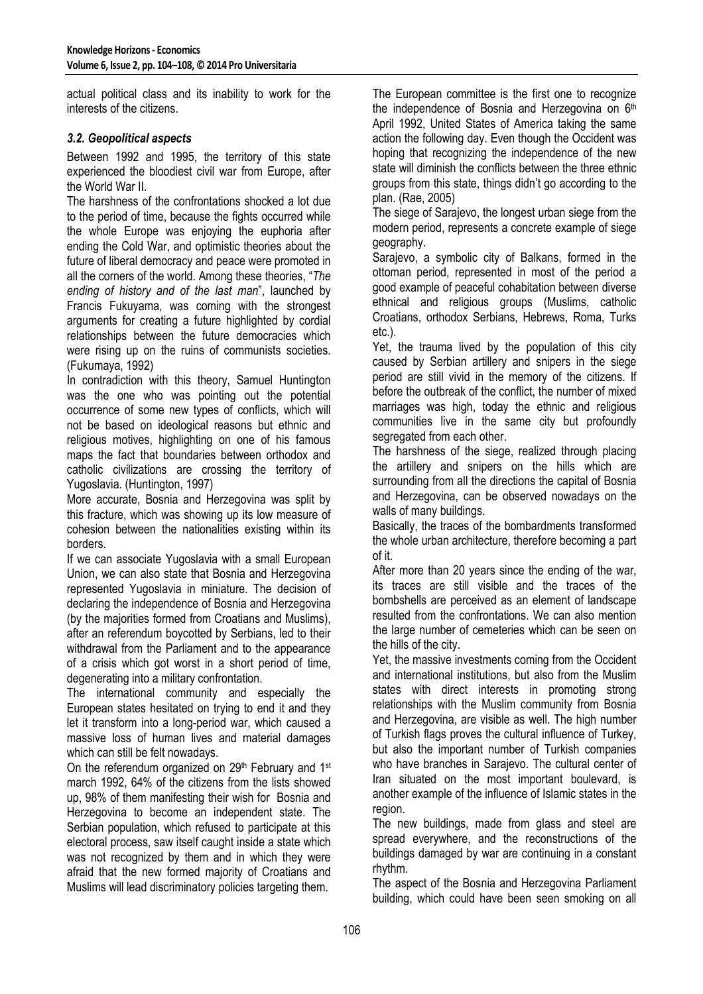actual political class and its inability to work for the interests of the citizens.

### *3.2. Geopolitical aspects*

Between 1992 and 1995, the territory of this state experienced the bloodiest civil war from Europe, after the World War II

The harshness of the confrontations shocked a lot due to the period of time, because the fights occurred while the whole Europe was enjoying the euphoria after ending the Cold War, and optimistic theories about the future of liberal democracy and peace were promoted in all the corners of the world. Among these theories, "*The ending of history and of the last man*", launched by Francis Fukuyama, was coming with the strongest arguments for creating a future highlighted by cordial relationships between the future democracies which were rising up on the ruins of communists societies. (Fukumaya, 1992)

In contradiction with this theory, Samuel Huntington was the one who was pointing out the potential occurrence of some new types of conflicts, which will not be based on ideological reasons but ethnic and religious motives, highlighting on one of his famous maps the fact that boundaries between orthodox and catholic civilizations are crossing the territory of Yugoslavia. (Huntington, 1997)

More accurate, Bosnia and Herzegovina was split by this fracture, which was showing up its low measure of cohesion between the nationalities existing within its borders.

If we can associate Yugoslavia with a small European Union, we can also state that Bosnia and Herzegovina represented Yugoslavia in miniature. The decision of declaring the independence of Bosnia and Herzegovina (by the majorities formed from Croatians and Muslims), after an referendum boycotted by Serbians, led to their withdrawal from the Parliament and to the appearance of a crisis which got worst in a short period of time, degenerating into a military confrontation.

The international community and especially the European states hesitated on trying to end it and they let it transform into a long-period war, which caused a massive loss of human lives and material damages which can still be felt nowadays.

On the referendum organized on 29<sup>th</sup> February and 1<sup>st</sup> march 1992, 64% of the citizens from the lists showed up, 98% of them manifesting their wish for Bosnia and Herzegovina to become an independent state. The Serbian population, which refused to participate at this electoral process, saw itself caught inside a state which was not recognized by them and in which they were afraid that the new formed majority of Croatians and Muslims will lead discriminatory policies targeting them.

The European committee is the first one to recognize the independence of Bosnia and Herzegovina on 6<sup>th</sup> April 1992, United States of America taking the same action the following day. Even though the Occident was hoping that recognizing the independence of the new state will diminish the conflicts between the three ethnic groups from this state, things didn't go according to the plan. (Rae, 2005)

The siege of Sarajevo, the longest urban siege from the modern period, represents a concrete example of siege geography.

Sarajevo, a symbolic city of Balkans, formed in the ottoman period, represented in most of the period a good example of peaceful cohabitation between diverse ethnical and religious groups (Muslims, catholic Croatians, orthodox Serbians, Hebrews, Roma, Turks etc.).

Yet, the trauma lived by the population of this city caused by Serbian artillery and snipers in the siege period are still vivid in the memory of the citizens. If before the outbreak of the conflict, the number of mixed marriages was high, today the ethnic and religious communities live in the same city but profoundly segregated from each other.

The harshness of the siege, realized through placing the artillery and snipers on the hills which are surrounding from all the directions the capital of Bosnia and Herzegovina, can be observed nowadays on the walls of many buildings.

Basically, the traces of the bombardments transformed the whole urban architecture, therefore becoming a part of it.

After more than 20 years since the ending of the war, its traces are still visible and the traces of the bombshells are perceived as an element of landscape resulted from the confrontations. We can also mention the large number of cemeteries which can be seen on the hills of the city.

Yet, the massive investments coming from the Occident and international institutions, but also from the Muslim states with direct interests in promoting strong relationships with the Muslim community from Bosnia and Herzegovina, are visible as well. The high number of Turkish flags proves the cultural influence of Turkey, but also the important number of Turkish companies who have branches in Sarajevo. The cultural center of Iran situated on the most important boulevard, is another example of the influence of Islamic states in the region.

The new buildings, made from glass and steel are spread everywhere, and the reconstructions of the buildings damaged by war are continuing in a constant rhythm.

The aspect of the Bosnia and Herzegovina Parliament building, which could have been seen smoking on all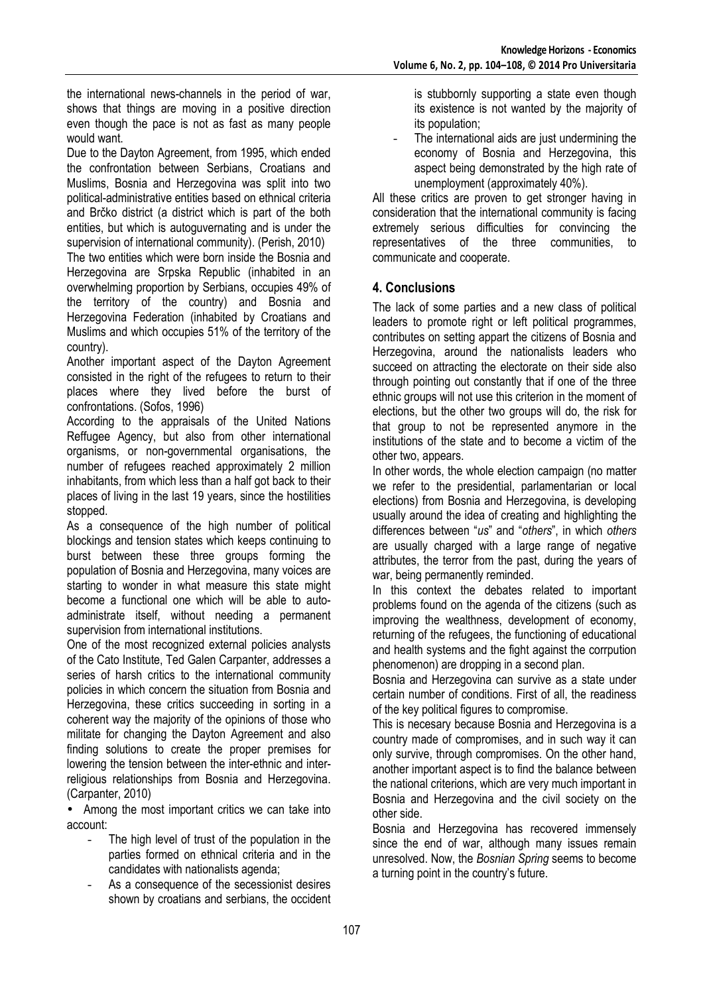the international news-channels in the period of war, shows that things are moving in a positive direction even though the pace is not as fast as many people would want.

Due to the Dayton Agreement, from 1995, which ended the confrontation between Serbians, Croatians and Muslims, Bosnia and Herzegovina was split into two political-administrative entities based on ethnical criteria and Brčko district (a district which is part of the both entities, but which is autoguvernating and is under the supervision of international community). (Perish, 2010)

The two entities which were born inside the Bosnia and Herzegovina are Srpska Republic (inhabited in an overwhelming proportion by Serbians, occupies 49% of the territory of the country) and Bosnia and Herzegovina Federation (inhabited by Croatians and Muslims and which occupies 51% of the territory of the country).

Another important aspect of the Dayton Agreement consisted in the right of the refugees to return to their places where they lived before the burst of confrontations. (Sofos, 1996)

According to the appraisals of the United Nations Reffugee Agency, but also from other international organisms, or non-governmental organisations, the number of refugees reached approximately 2 million inhabitants, from which less than a half got back to their places of living in the last 19 years, since the hostilities stopped.

As a consequence of the high number of political blockings and tension states which keeps continuing to burst between these three groups forming the population of Bosnia and Herzegovina, many voices are starting to wonder in what measure this state might become a functional one which will be able to autoadministrate itself, without needing a permanent supervision from international institutions.

One of the most recognized external policies analysts of the Cato Institute, Ted Galen Carpanter, addresses a series of harsh critics to the international community policies in which concern the situation from Bosnia and Herzegovina, these critics succeeding in sorting in a coherent way the majority of the opinions of those who militate for changing the Dayton Agreement and also finding solutions to create the proper premises for lowering the tension between the inter-ethnic and interreligious relationships from Bosnia and Herzegovina. (Carpanter, 2010)

• Among the most important critics we can take into account:

- The high level of trust of the population in the parties formed on ethnical criteria and in the candidates with nationalists agenda;
- As a consequence of the secessionist desires shown by croatians and serbians, the occident

is stubbornly supporting a state even though its existence is not wanted by the majority of its population;

The international aids are just undermining the economy of Bosnia and Herzegovina, this aspect being demonstrated by the high rate of unemployment (approximately 40%).

All these critics are proven to get stronger having in consideration that the international community is facing extremely serious difficulties for convincing the representatives of the three communities, to communicate and cooperate.

# **4. Conclusions**

The lack of some parties and a new class of political leaders to promote right or left political programmes, contributes on setting appart the citizens of Bosnia and Herzegovina, around the nationalists leaders who succeed on attracting the electorate on their side also through pointing out constantly that if one of the three ethnic groups will not use this criterion in the moment of elections, but the other two groups will do, the risk for that group to not be represented anymore in the institutions of the state and to become a victim of the other two, appears.

In other words, the whole election campaign (no matter we refer to the presidential, parlamentarian or local elections) from Bosnia and Herzegovina, is developing usually around the idea of creating and highlighting the differences between "*us*" and "*others*", in which *others* are usually charged with a large range of negative attributes, the terror from the past, during the years of war, being permanently reminded.

In this context the debates related to important problems found on the agenda of the citizens (such as improving the wealthness, development of economy, returning of the refugees, the functioning of educational and health systems and the fight against the corrpution phenomenon) are dropping in a second plan.

Bosnia and Herzegovina can survive as a state under certain number of conditions. First of all, the readiness of the key political figures to compromise.

This is necesary because Bosnia and Herzegovina is a country made of compromises, and in such way it can only survive, through compromises. On the other hand, another important aspect is to find the balance between the national criterions, which are very much important in Bosnia and Herzegovina and the civil society on the other side.

Bosnia and Herzegovina has recovered immensely since the end of war, although many issues remain unresolved. Now, the *Bosnian Spring* seems to become a turning point in the country's future.